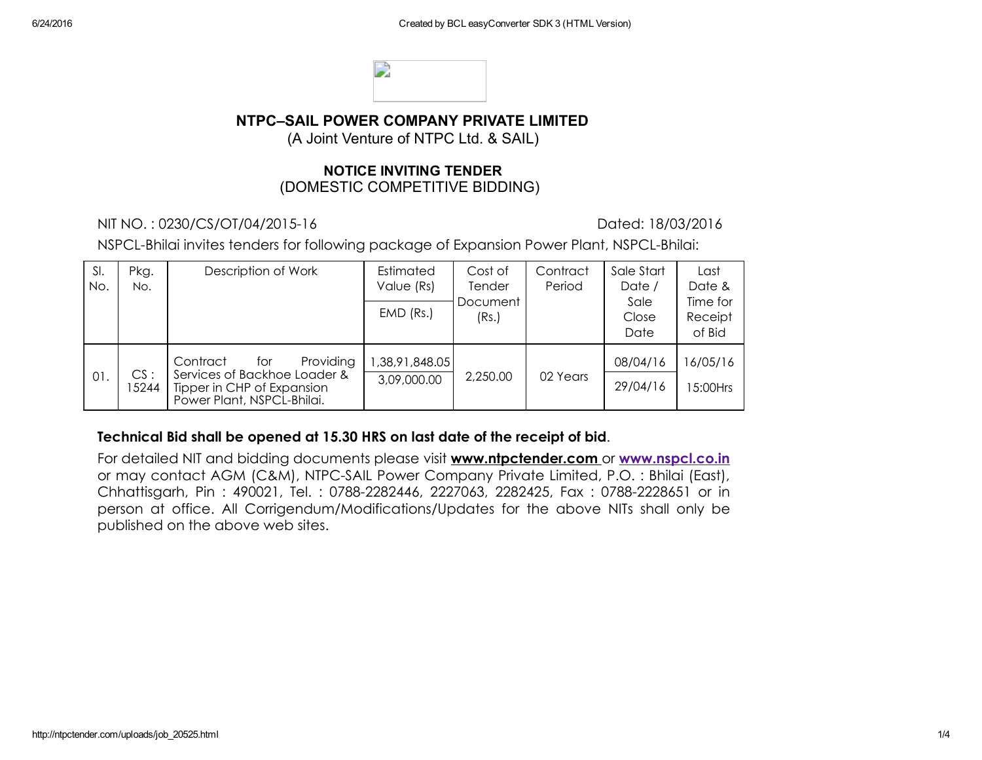

## NTPC–SAIL POWER COMPANY PRIVATE LIMITED

(A Joint Venture of NTPC Ltd. & SAIL)

#### NOTICE INVITING TENDER (DOMESTIC COMPETITIVE BIDDING)

NIT NO. : 0230/CS/OT/04/201516 Dated: 18/03/2016

NSPCL-Bhilai invites tenders for following package of Expansion Power Plant, NSPCL-Bhilai:

| SI.<br>No. | Pkg.<br>No.  | Description of Work                                                                                                      | Estimated<br>Value (Rs)<br>$EMD$ (Rs.) | Cost of<br>Tender<br>Document<br>(Rs.) | Contract<br>Period | Sale Start<br>Date /<br>Sale<br>Close<br>Date | Last<br>Date &<br>Time for<br>Receipt<br>of Bid |
|------------|--------------|--------------------------------------------------------------------------------------------------------------------------|----------------------------------------|----------------------------------------|--------------------|-----------------------------------------------|-------------------------------------------------|
| 01.        | CS:<br>15244 | Providing<br>Contract<br>for<br>Services of Backhoe Loader &<br>Tipper in CHP of Expansion<br>Power Plant, NSPCL-Bhilai. | 38,91,848.05<br>3,09,000.00            | 2,250.00                               | 02 Years           | 08/04/16<br>29/04/16                          | 16/05/16<br>15:00Hrs                            |

#### Technical Bid shall be opened at 15.30 HRS on last date of the receipt of bid.

For detailed NIT and bidding documents please visit www.ntpctender.com or [www.nspcl.co.in](http://www.nspcl.co.in/) or may contact AGM (C&M), NTPC-SAIL Power Company Private Limited, P.O. : Bhilai (East), Chhattisgarh, Pin: 490021, Tel.: 0788-2282446, 2227063, 2282425, Fax: 0788-2228651 or in person at office. All Corrigendum/Modifications/Updates for the above NITs shall only be published on the above web sites.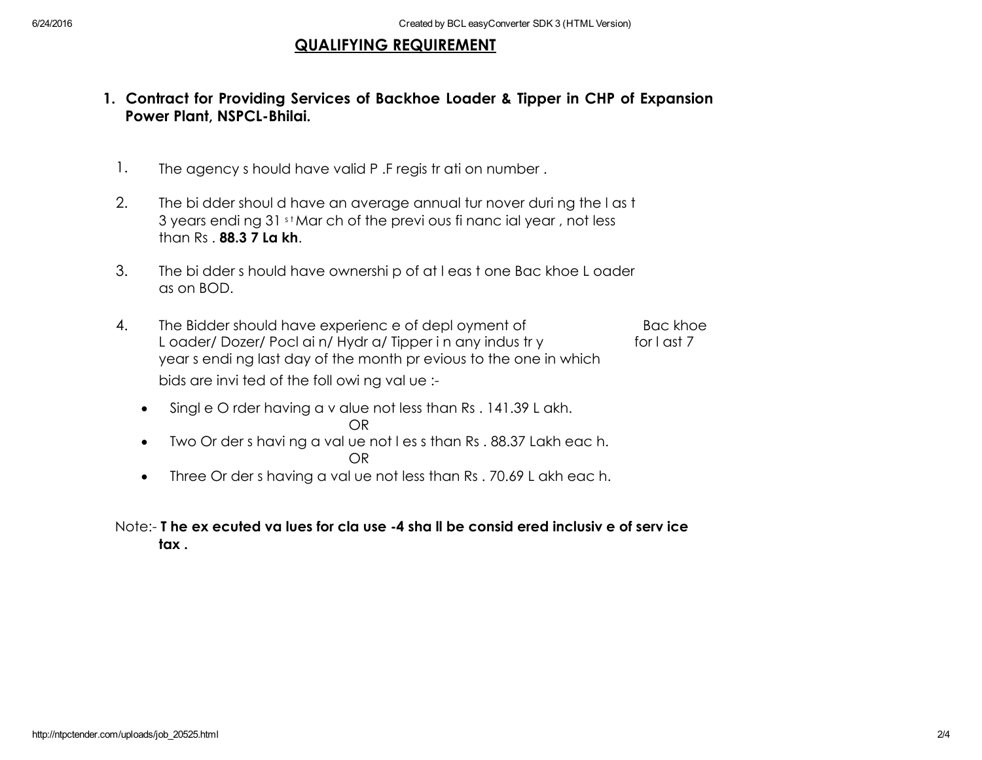## QUALIFYING REQUIREMENT

- 1. Contract for Providing Services of Backhoe Loader & Tipper in CHP of Expansion Power Plant, NSPCL-Bhilai.
	- 1. The agency s hould have valid P. F regis tr ati on number.
	- 2. The bi dder shoul d have an average annual tur nover during the last 3 years endi ng 31 st Mar ch of the previ ous fi nanc ial year, not less than Rs . 88.3 7 La kh.
	- 3. The bi dder s hould have ownershi p of at l eas t one Bac khoe L oader as on BOD.
	- 4. The Bidder should have experienc e of depl oyment of Bac khoe L oader/ Dozer/ Pocl ai n/ Hydr a/ Tipper i n any indus tr y for l ast 7 year s endi ng last day of the month pr evious to the one in which bids are invi ted of the foll owi ng val ue :
		- Singl e O rder having a v alue not less than Rs . 141.39 L akh. OR
		- Two Or der s havi ng a val ue not l es s than Rs . 88.37 Lakh eac h. OR
		- Three Or der s having a val ue not less than Rs. 70.69 L akh eac h.

## Note: T he ex ecuted va lues for cla use 4 sha ll be consid ered inclusiv e of serv ice tax .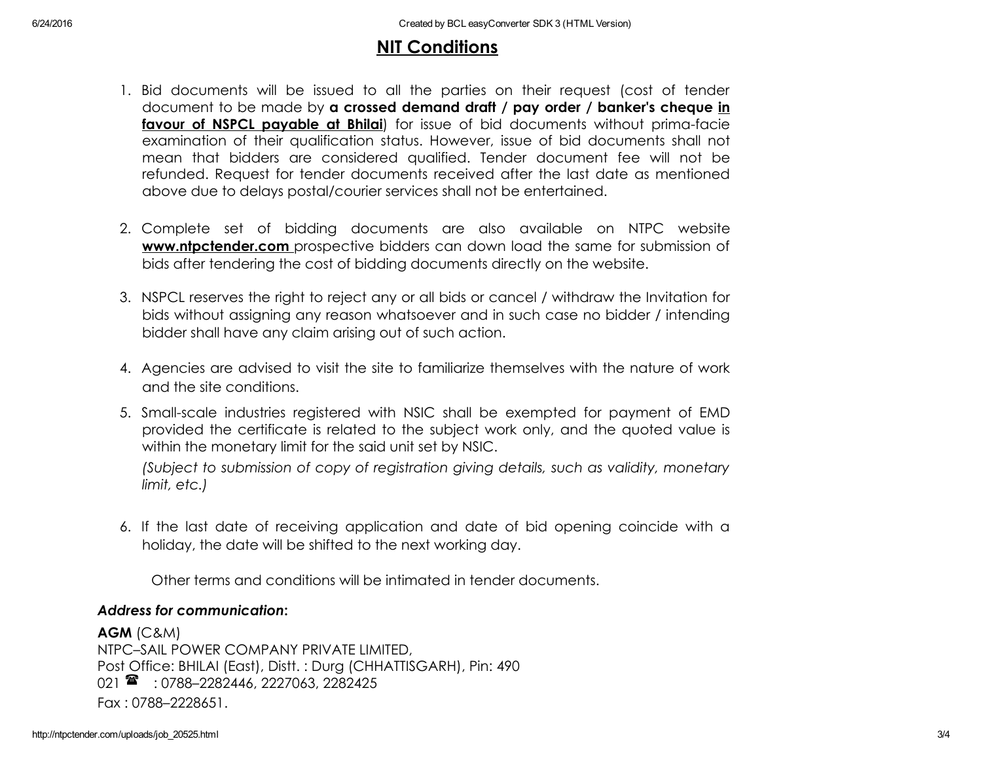# NIT Conditions

- 1. Bid documents will be issued to all the parties on their request (cost of tender document to be made by a crossed demand draft / pay order / banker's cheque in favour of NSPCL payable at Bhilai) for issue of bid documents without prima-facie examination of their qualification status. However, issue of bid documents shall not mean that bidders are considered qualified. Tender document fee will not be refunded. Request for tender documents received after the last date as mentioned above due to delays postal/courier services shall not be entertained.
- 2. Complete set of bidding documents are also available on NTPC website **www.ntpctender.com** prospective bidders can down load the same for submission of bids after tendering the cost of bidding documents directly on the website.
- 3. NSPCL reserves the right to reject any or all bids or cancel / withdraw the Invitation for bids without assigning any reason whatsoever and in such case no bidder / intending bidder shall have any claim arising out of such action.
- 4. Agencies are advised to visit the site to familiarize themselves with the nature of work and the site conditions.
- 5. Smallscale industries registered with NSIC shall be exempted for payment of EMD provided the certificate is related to the subject work only, and the quoted value is within the monetary limit for the said unit set by NSIC.

*(Subject to submission of copy of registration giving details, such as validity, monetary limit, etc.)*

6. If the last date of receiving application and date of bid opening coincide with a holiday, the date will be shifted to the next working day.

Other terms and conditions will be intimated in tender documents.

#### *Address for communication*:

AGM (C&M) NTPC–SAIL POWER COMPANY PRIVATE LIMITED, Post Office: BHILAI (East), Distt. : Durg (CHHATTISGARH), Pin: 490 021  $\rightarrow$  : 0788-2282446, 2227063, 2282425 Fax : 0788–2228651.